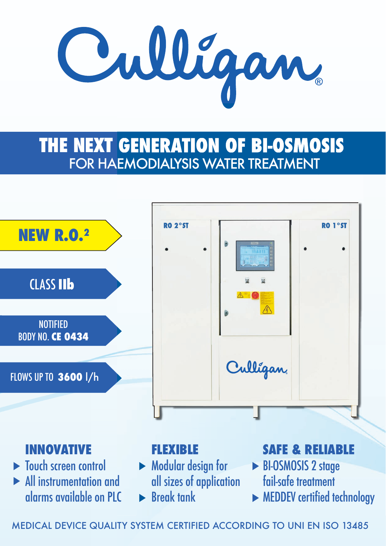

# **THE NEXT GENERATION OF BI-OSMOSIS**  FOR HAEMODIALYSIS WATER TREATMENT



### **INNOVATIVE**

- $\blacktriangleright$  Touch screen control
- All instrumentation and alarms available on PLC

#### **FLEXIBLE**

- ▶ Modular design for all sizes of application
- $\blacktriangleright$  Break tank

### **SAFE & RELIABLE**

- BI-OSMOSIS 2 stage fail-safe treatment
- **MEDDEV** certified technology

MEDICAL DEVICE QUALITY SYSTEM CERTIFIED ACCORDING TO UNI EN ISO 13485